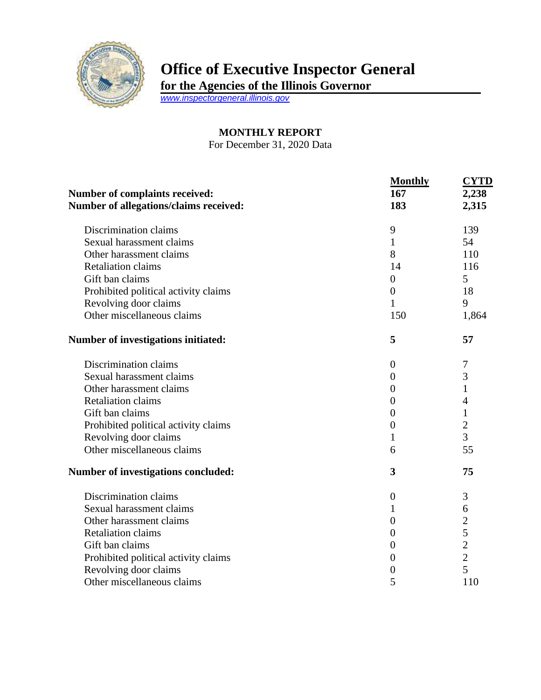

## **Office of Executive Inspector General**

**for the Agencies of the Illinois Governor**

*[www.inspectorgeneral.illinois.gov](http://www.inspectorgeneral.illinois.gov/)*

## **MONTHLY REPORT**

For December 31, 2020 Data

|                                            | <b>Monthly</b>   | <b>CYTD</b>    |
|--------------------------------------------|------------------|----------------|
| <b>Number of complaints received:</b>      | 167              | 2,238          |
| Number of allegations/claims received:     | 183              | 2,315          |
| Discrimination claims                      | 9                | 139            |
| Sexual harassment claims                   | $\mathbf{1}$     | 54             |
| Other harassment claims                    | 8                | 110            |
| <b>Retaliation claims</b>                  | 14               | 116            |
| Gift ban claims                            | $\boldsymbol{0}$ | 5              |
| Prohibited political activity claims       | $\boldsymbol{0}$ | 18             |
| Revolving door claims                      | $\mathbf{1}$     | 9              |
| Other miscellaneous claims                 | 150              | 1,864          |
| Number of investigations initiated:        | 5                | 57             |
| Discrimination claims                      | $\overline{0}$   | 7              |
| Sexual harassment claims                   | $\overline{0}$   | 3              |
| Other harassment claims                    | $\theta$         | $\mathbf{1}$   |
| <b>Retaliation claims</b>                  | $\overline{0}$   | $\overline{4}$ |
| Gift ban claims                            | $\boldsymbol{0}$ | $\mathbf{1}$   |
| Prohibited political activity claims       | $\boldsymbol{0}$ | $\overline{2}$ |
| Revolving door claims                      | 1                | 3              |
| Other miscellaneous claims                 | 6                | 55             |
| <b>Number of investigations concluded:</b> | 3                | 75             |
| Discrimination claims                      | $\boldsymbol{0}$ | 3              |
| Sexual harassment claims                   | 1                | 6              |
| Other harassment claims                    | $\boldsymbol{0}$ | $\overline{c}$ |
| <b>Retaliation claims</b>                  | $\overline{0}$   | 5              |
| Gift ban claims                            | $\boldsymbol{0}$ | $\overline{c}$ |
| Prohibited political activity claims       | $\overline{0}$   | $\overline{2}$ |
| Revolving door claims                      | 0                | 5              |
| Other miscellaneous claims                 | 5                | 110            |
|                                            |                  |                |